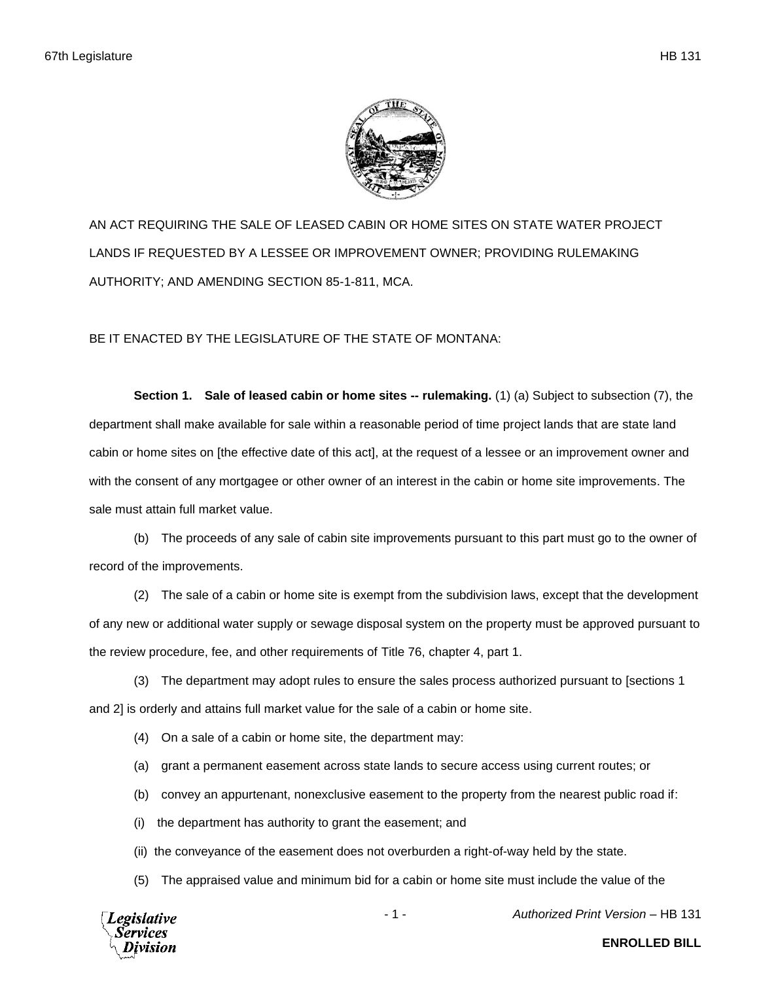

AN ACT REQUIRING THE SALE OF LEASED CABIN OR HOME SITES ON STATE WATER PROJECT LANDS IF REQUESTED BY A LESSEE OR IMPROVEMENT OWNER; PROVIDING RULEMAKING AUTHORITY; AND AMENDING SECTION 85-1-811, MCA.

BE IT ENACTED BY THE LEGISLATURE OF THE STATE OF MONTANA:

**Section 1. Sale of leased cabin or home sites -- rulemaking.** (1) (a) Subject to subsection (7), the department shall make available for sale within a reasonable period of time project lands that are state land cabin or home sites on [the effective date of this act], at the request of a lessee or an improvement owner and with the consent of any mortgagee or other owner of an interest in the cabin or home site improvements. The sale must attain full market value.

(b) The proceeds of any sale of cabin site improvements pursuant to this part must go to the owner of record of the improvements.

(2) The sale of a cabin or home site is exempt from the subdivision laws, except that the development of any new or additional water supply or sewage disposal system on the property must be approved pursuant to the review procedure, fee, and other requirements of Title 76, chapter 4, part 1.

(3) The department may adopt rules to ensure the sales process authorized pursuant to [sections 1 and 2] is orderly and attains full market value for the sale of a cabin or home site.

- (4) On a sale of a cabin or home site, the department may:
- (a) grant a permanent easement across state lands to secure access using current routes; or
- (b) convey an appurtenant, nonexclusive easement to the property from the nearest public road if:
- (i) the department has authority to grant the easement; and
- (ii) the conveyance of the easement does not overburden a right-of-way held by the state.
- (5) The appraised value and minimum bid for a cabin or home site must include the value of the



- 1 - *Authorized Print Version* – HB 131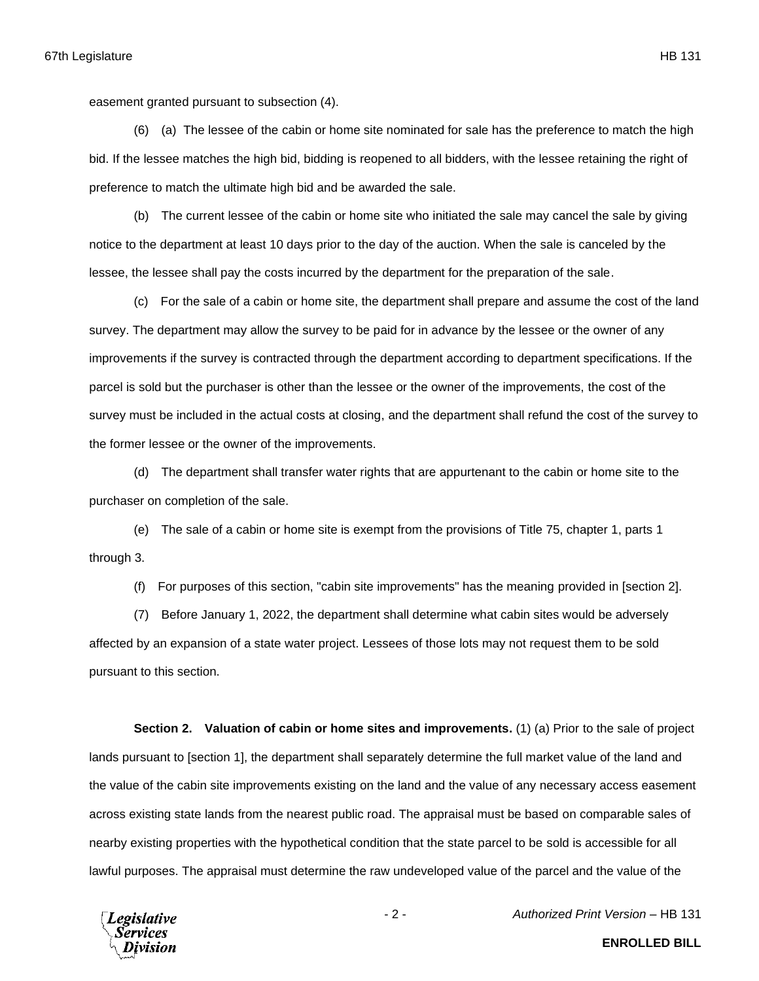easement granted pursuant to subsection (4).

(6) (a) The lessee of the cabin or home site nominated for sale has the preference to match the high bid. If the lessee matches the high bid, bidding is reopened to all bidders, with the lessee retaining the right of preference to match the ultimate high bid and be awarded the sale.

(b) The current lessee of the cabin or home site who initiated the sale may cancel the sale by giving notice to the department at least 10 days prior to the day of the auction. When the sale is canceled by the lessee, the lessee shall pay the costs incurred by the department for the preparation of the sale.

(c) For the sale of a cabin or home site, the department shall prepare and assume the cost of the land survey. The department may allow the survey to be paid for in advance by the lessee or the owner of any improvements if the survey is contracted through the department according to department specifications. If the parcel is sold but the purchaser is other than the lessee or the owner of the improvements, the cost of the survey must be included in the actual costs at closing, and the department shall refund the cost of the survey to the former lessee or the owner of the improvements.

(d) The department shall transfer water rights that are appurtenant to the cabin or home site to the purchaser on completion of the sale.

(e) The sale of a cabin or home site is exempt from the provisions of Title 75, chapter 1, parts 1 through 3.

(f) For purposes of this section, "cabin site improvements" has the meaning provided in [section 2].

(7) Before January 1, 2022, the department shall determine what cabin sites would be adversely affected by an expansion of a state water project. Lessees of those lots may not request them to be sold pursuant to this section.

**Section 2.** Valuation of cabin or home sites and improvements. (1) (a) Prior to the sale of project lands pursuant to [section 1], the department shall separately determine the full market value of the land and the value of the cabin site improvements existing on the land and the value of any necessary access easement across existing state lands from the nearest public road. The appraisal must be based on comparable sales of nearby existing properties with the hypothetical condition that the state parcel to be sold is accessible for all lawful purposes. The appraisal must determine the raw undeveloped value of the parcel and the value of the



**ENROLLED BILL**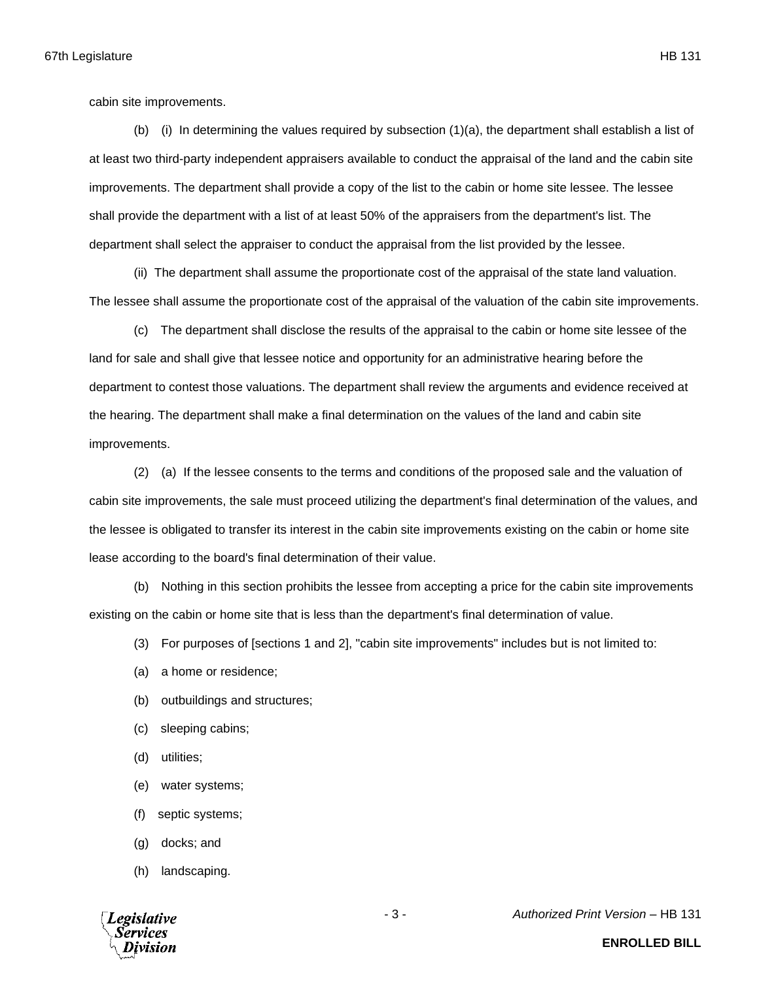cabin site improvements.

(b) (i) In determining the values required by subsection (1)(a), the department shall establish a list of at least two third-party independent appraisers available to conduct the appraisal of the land and the cabin site improvements. The department shall provide a copy of the list to the cabin or home site lessee. The lessee shall provide the department with a list of at least 50% of the appraisers from the department's list. The department shall select the appraiser to conduct the appraisal from the list provided by the lessee.

(ii) The department shall assume the proportionate cost of the appraisal of the state land valuation. The lessee shall assume the proportionate cost of the appraisal of the valuation of the cabin site improvements.

(c) The department shall disclose the results of the appraisal to the cabin or home site lessee of the land for sale and shall give that lessee notice and opportunity for an administrative hearing before the department to contest those valuations. The department shall review the arguments and evidence received at the hearing. The department shall make a final determination on the values of the land and cabin site improvements.

(2) (a) If the lessee consents to the terms and conditions of the proposed sale and the valuation of cabin site improvements, the sale must proceed utilizing the department's final determination of the values, and the lessee is obligated to transfer its interest in the cabin site improvements existing on the cabin or home site lease according to the board's final determination of their value.

(b) Nothing in this section prohibits the lessee from accepting a price for the cabin site improvements existing on the cabin or home site that is less than the department's final determination of value.

(3) For purposes of [sections 1 and 2], "cabin site improvements" includes but is not limited to:

- (a) a home or residence;
- (b) outbuildings and structures;
- (c) sleeping cabins;
- (d) utilities;
- (e) water systems;
- (f) septic systems;
- (g) docks; and
- (h) landscaping.



- 3 - *Authorized Print Version* – HB 131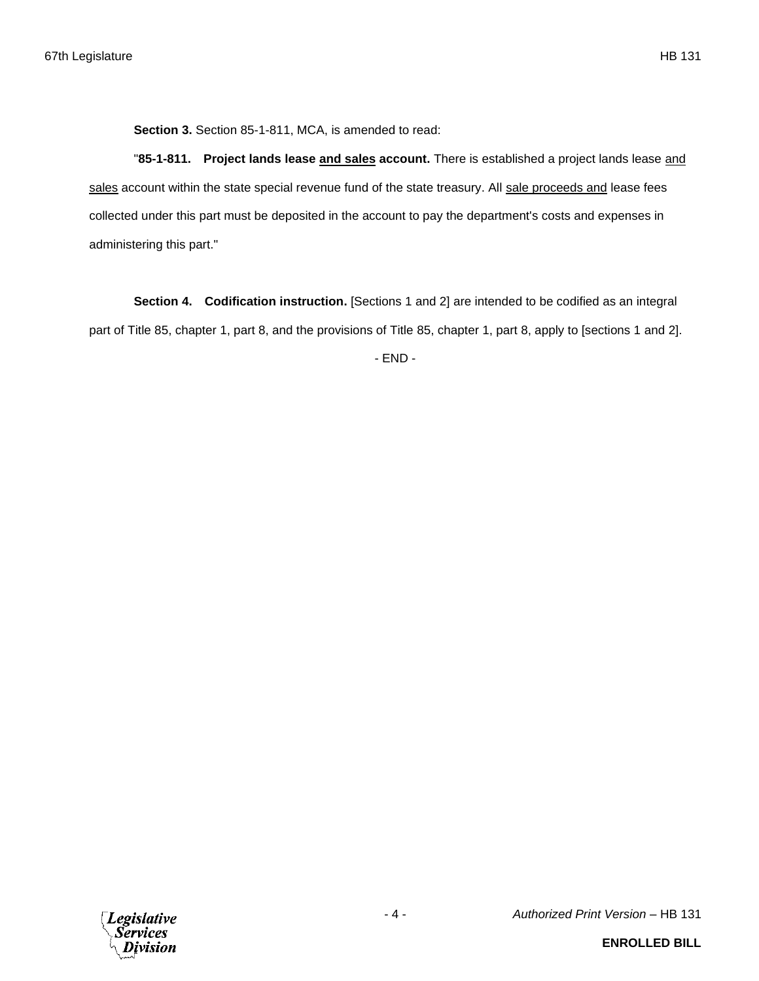**Section 3.** Section 85-1-811, MCA, is amended to read:

"**85-1-811. Project lands lease and sales account.** There is established a project lands lease and sales account within the state special revenue fund of the state treasury. All sale proceeds and lease fees collected under this part must be deposited in the account to pay the department's costs and expenses in administering this part."

**Section 4. Codification instruction.** [Sections 1 and 2] are intended to be codified as an integral part of Title 85, chapter 1, part 8, and the provisions of Title 85, chapter 1, part 8, apply to [sections 1 and 2].

- END -

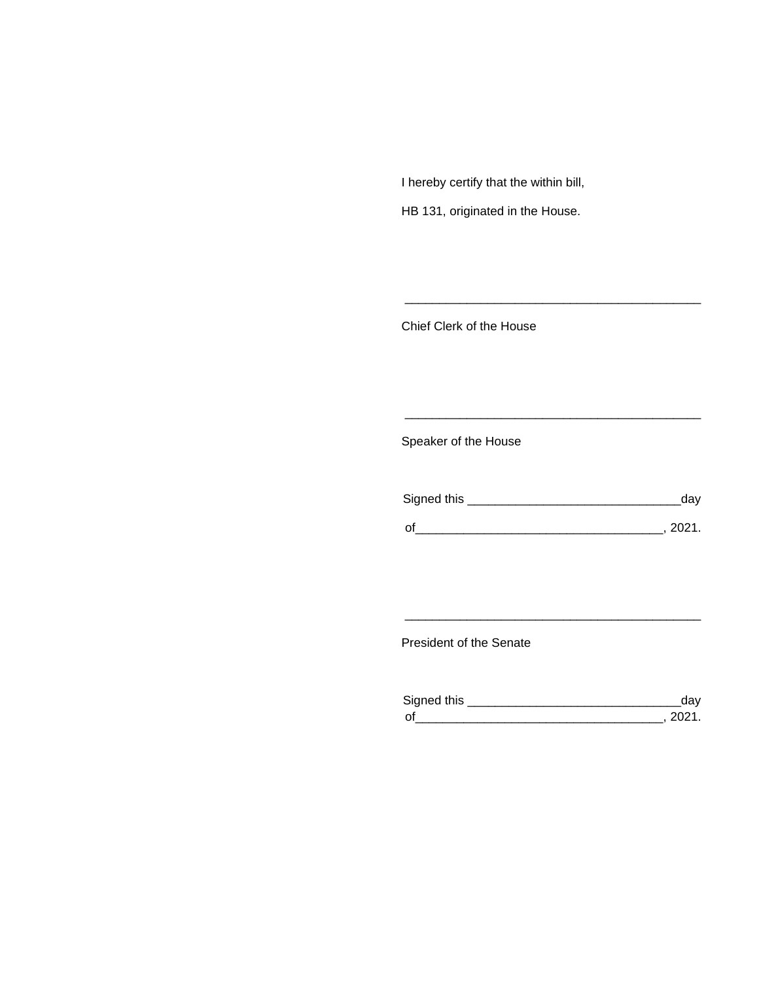I hereby certify that the within bill,

HB 131, originated in the House.

Chief Clerk of the House

Speaker of the House

| Signed this | dav      |
|-------------|----------|
| $\Omega$    | - 2021 - |

\_\_\_\_\_\_\_\_\_\_\_\_\_\_\_\_\_\_\_\_\_\_\_\_\_\_\_\_\_\_\_\_\_\_\_\_\_\_\_\_\_\_\_

\_\_\_\_\_\_\_\_\_\_\_\_\_\_\_\_\_\_\_\_\_\_\_\_\_\_\_\_\_\_\_\_\_\_\_\_\_\_\_\_\_\_\_

President of the Senate

| Sianed this |  |
|-------------|--|
| $\Omega$    |  |

\_\_\_\_\_\_\_\_\_\_\_\_\_\_\_\_\_\_\_\_\_\_\_\_\_\_\_\_\_\_\_\_\_\_\_\_\_\_\_\_\_\_\_